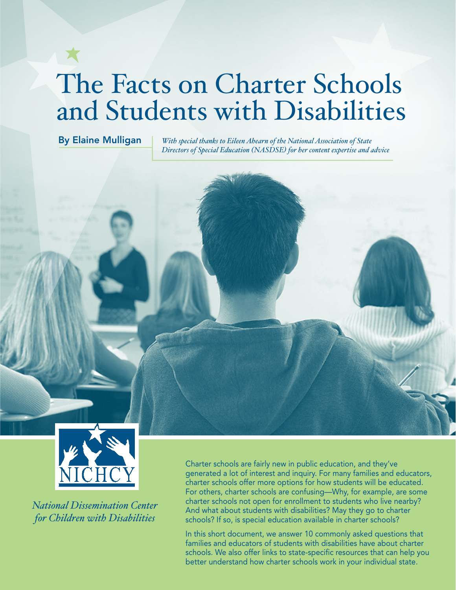# The Facts on Charter Schools and Students with Disabilities

By Elaine Mulligan *With special thanks to Eileen Ahearn of the National Association of State Directors of Special Education (NASDSE) for her content expertise and advice*



*National Dissemination Center for Children with Disabilities*

Charter schools are fairly new in public education, and they've generated a lot of interest and inquiry. For many families and educators, charter schools offer more options for how students will be educated. For others, charter schools are confusing—Why, for example, are some charter schools not open for enrollment to students who live nearby? And what about students with disabilities? May they go to charter schools? If so, is special education available in charter schools?

In this short document, we answer 10 commonly asked questions that families and educators of students with disabilities have about charter schools. We also offer links to state-specific resources that can help you better understand how charter schools work in your individual state.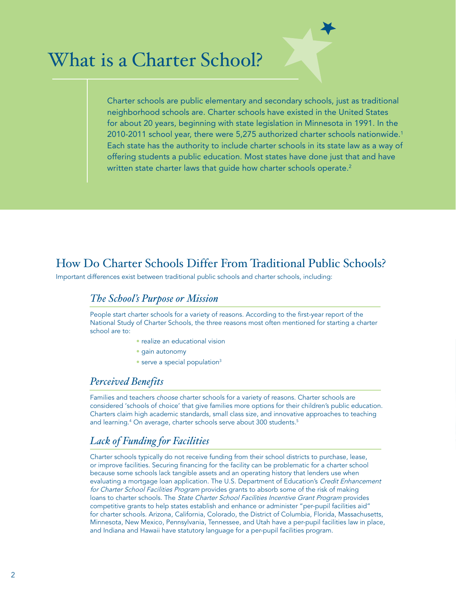## What is a Charter School?

Charter schools are public elementary and secondary schools, just as traditional neighborhood schools are. Charter schools have existed in the United States for about 20 years, beginning with state legislation in Minnesota in 1991. In the 2010-2011 school year, there were 5,275 authorized charter schools nationwide.1 Each state has the authority to include charter schools in its state law as a way of offering students a public education. Most states have done just that and have written state charter laws that quide how charter schools operate.<sup>2</sup>

#### How Do Charter Schools Differ From Traditional Public Schools?

Important differences exist between traditional public schools and charter schools, including:

#### *The School's Purpose or Mission*

People start charter schools for a variety of reasons. According to the first-year report of the National Study of Charter Schools, the three reasons most often mentioned for starting a charter school are to:

- realize an educational vision
- gain autonomy
- serve a special population<sup>3</sup>

#### *Perceived Benefits*

Families and teachers *choose* charter schools for a variety of reasons. Charter schools are considered 'schools of choice' that give families more options for their children's public education. Charters claim high academic standards, small class size, and innovative approaches to teaching and learning.4 On average, charter schools serve about 300 students.5

#### *Lack of Funding for Facilities*

Charter schools typically do not receive funding from their school districts to purchase, lease, or improve facilities. Securing financing for the facility can be problematic for a charter school because some schools lack tangible assets and an operating history that lenders use when evaluating a mortgage loan application. The U.S. Department of Education's *Credit Enhancement for Charter School Facilities Program* provides grants to absorb some of the risk of making loans to charter schools. The *State Charter School Facilities Incentive Grant Program* provides competitive grants to help states establish and enhance or administer "per-pupil facilities aid" for charter schools. Arizona, California, Colorado, the District of Columbia, Florida, Massachusetts, Minnesota, New Mexico, Pennsylvania, Tennessee, and Utah have a per-pupil facilities law in place, and Indiana and Hawaii have statutory language for a per-pupil facilities program.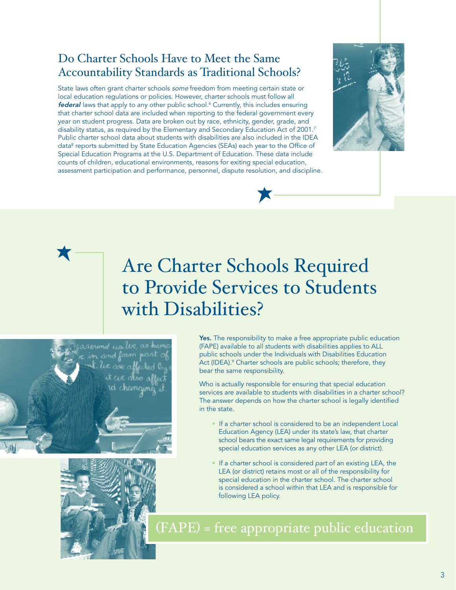#### Do Charter Schools Have to Meet the Same Accountability Standards as Traditional Schools?

State laws often grant charter schools *some* freedom from meeting certain state or local education regulations or policies. However, charter schools must follow all *federal* laws that apply to any other public school.6 Currently, this includes ensuring that charter school data are included when reporting to the federal government every year on student progress. Data are broken out by race, ethnicity, gender, grade, and disability status, as required by the Elementary and Secondary Education Act of 2001.<sup>7</sup> Public charter school data about students with disabilities are also included in the IDEA data<sup>8</sup> reports submitted by State Education Agencies (SEAs) each year to the Office of Special Education Programs at the U.S. Department of Education. These data include counts of children, educational environments, reasons for exiting special education, assessment participation and performance, personnel, dispute resolution, and discipline.



## Are Charter Schools Required to Provide Services to Students with Disabilities?





Yes. The responsibility to make a free appropriate public education (FAPE) available to all students with disabilities applies to ALL public schools under the Individuals with Disabilities Education Act (IDEA).<sup>9</sup> Charter schools are public schools; therefore, they bear the same responsibility.

Who is actually responsible for ensuring that special education services are available to students with disabilities in a charter school? The answer depends on how the charter school is legally identified in the state.

- If a charter school is considered to be an independent Local Education Agency (LEA) under its state's law, that charter school bears the exact same legal requirements for providing special education services as any other LEA (or district).
- If a charter school is considered *part* of an existing LEA, the LEA (or district) retains most or all of the responsibility for special education in the charter school. The charter school is considered a school within that LEA and is responsible for following LEA policy.

(FAPE) = free appropriate public education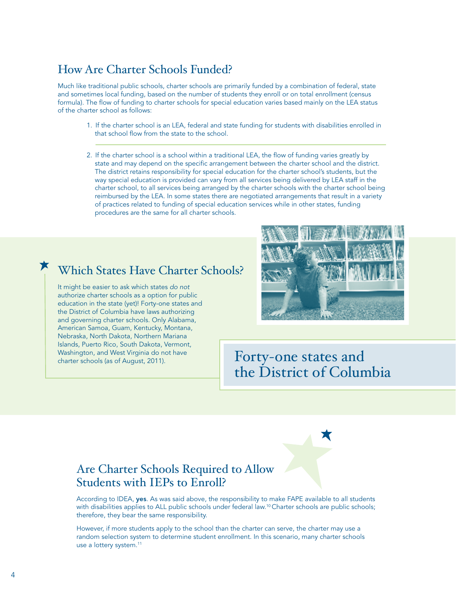#### How Are Charter Schools Funded?

Much like traditional public schools, charter schools are primarily funded by a combination of federal, state and sometimes local funding, based on the number of students they enroll or on total enrollment (census formula). The flow of funding to charter schools for special education varies based mainly on the LEA status of the charter school as follows:

- 1. If the charter school is an LEA, federal and state funding for students with disabilities enrolled in that school flow from the state to the school.
- 2. If the charter school is a school within a traditional LEA, the flow of funding varies greatly by state and may depend on the specific arrangement between the charter school and the district. The district retains responsibility for special education for the charter school's students, but the way special education is provided can vary from all services being delivered by LEA staff in the charter school, to all services being arranged by the charter schools with the charter school being reimbursed by the LEA. In some states there are negotiated arrangements that result in a variety of practices related to funding of special education services while in other states, funding procedures are the same for all charter schools.

#### Which States Have Charter Schools?

It might be easier to ask which states *do not* authorize charter schools as a option for public education in the state (yet)! Forty-one states and the District of Columbia have laws authorizing and governing charter schools. Only Alabama, American Samoa, Guam, Kentucky, Montana, Nebraska, North Dakota, Northern Mariana Islands, Puerto Rico, South Dakota, Vermont, Washington, and West Virginia do not have Washington, and West Virginia do not have  $\blacksquare$  Forty-one states and



the District of Columbia

#### Are Charter Schools Required to Allow Students with IEPs to Enroll?

According to IDEA, yes. As was said above, the responsibility to make FAPE available to all students with disabilities applies to ALL public schools under federal law.<sup>10</sup> Charter schools are public schools; therefore, they bear the same responsibility.

However, if more students apply to the school than the charter can serve, the charter may use a random selection system to determine student enrollment. In this scenario, many charter schools use a lottery system.<sup>11</sup>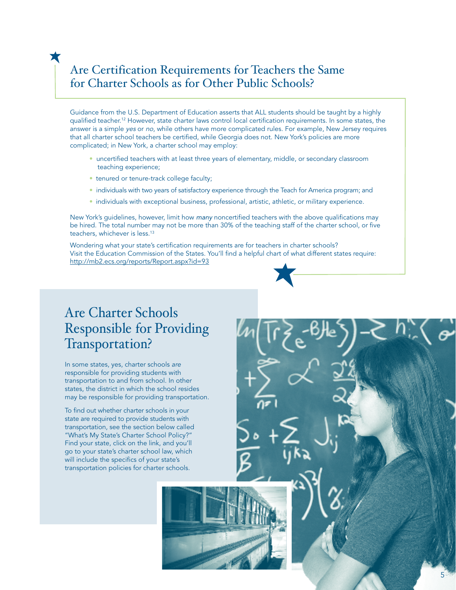#### Are Certification Requirements for Teachers the Same for Charter Schools as for Other Public Schools?

Guidance from the U.S. Department of Education asserts that ALL students should be taught by a highly qualified teacher.12 However, state charter laws control local certification requirements. In some states, the answer is a simple *yes* or *no*, while others have more complicated rules. For example, New Jersey requires that all charter school teachers be certified, while Georgia does not. New York's policies are more complicated; in New York, a charter school may employ:

- uncertified teachers with at least three years of elementary, middle, or secondary classroom teaching experience;
- tenured or tenure-track college faculty;

X

- individuals with two years of satisfactory experience through the Teach for America program; and
- individuals with exceptional business, professional, artistic, athletic, or military experience.

New York's guidelines, however, limit how *many* noncertified teachers with the above qualifications may be hired. The total number may not be more than 30% of the teaching staff of the charter school, or five teachers, whichever is less.<sup>13</sup>

Wondering what your state's certification requirements are for teachers in charter schools? Visit the Education Commission of the States. You'll find a helpful chart of what different states require: http://mb2.ecs.org/reports/Report.aspx?id=93

#### Are Charter Schools Responsible for Providing Transportation?

In some states, yes, charter schools *are* responsible for providing students with transportation to and from school. In other states, the district in which the school resides may be responsible for providing transportation.

To find out whether charter schools in your state are required to provide students with transportation, see the section below called "What's My State's Charter School Policy?" Find your state, click on the link, and you'll go to your state's charter school law, which will include the specifics of your state's transportation policies for charter schools.



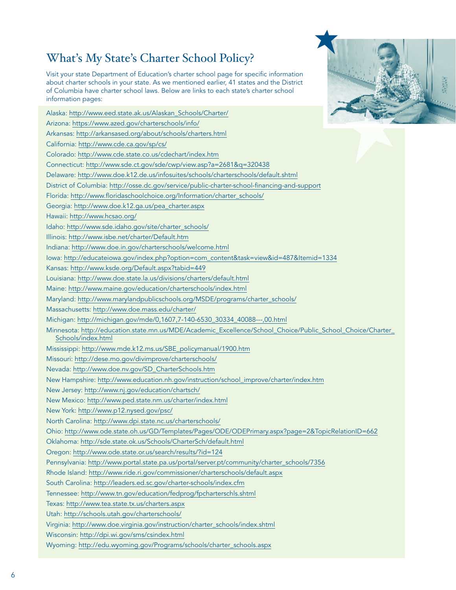#### What's My State's Charter School Policy?

Visit your state Department of Education's charter school page for specific information about charter schools in your state. As we mentioned earlier, 41 states and the District of Columbia have charter school laws. Below are links to each state's charter school information pages:

| Alaska: http://www.eed.state.ak.us/Alaskan_Schools/Charter/                                                                       |
|-----------------------------------------------------------------------------------------------------------------------------------|
| Arizona: https://www.azed.gov/charterschools/info/                                                                                |
| Arkansas: http://arkansased.org/about/schools/charters.html                                                                       |
| California: http://www.cde.ca.gov/sp/cs/                                                                                          |
| Colorado: http://www.cde.state.co.us/cdechart/index.htm                                                                           |
| Connecticut: http://www.sde.ct.gov/sde/cwp/view.asp?a=2681&q=320438                                                               |
| Delaware: http://www.doe.k12.de.us/infosuites/schools/charterschools/default.shtml                                                |
| District of Columbia: http://osse.dc.gov/service/public-charter-school-financing-and-support                                      |
| Florida: http://www.floridaschoolchoice.org/Information/charter_schools/                                                          |
| Georgia: http://www.doe.k12.ga.us/pea_charter.aspx                                                                                |
| Hawaii: http://www.hcsao.org/                                                                                                     |
| Idaho: http://www.sde.idaho.gov/site/charter_schools/                                                                             |
| Illinois: http://www.isbe.net/charter/Default.htm                                                                                 |
| Indiana: http://www.doe.in.gov/charterschools/welcome.html                                                                        |
| lowa: http://educateiowa.gov/index.php?option=com_content&task=view&id=487&Itemid=1334                                            |
| Kansas: http://www.ksde.org/Default.aspx?tabid=449                                                                                |
| Louisiana: http://www.doe.state.la.us/divisions/charters/default.html                                                             |
| Maine: http://www.maine.gov/education/charterschools/index.html                                                                   |
| Maryland: http://www.marylandpublicschools.org/MSDE/programs/charter_schools/                                                     |
| Massachusetts: http://www.doe.mass.edu/charter/                                                                                   |
| Michigan: http://michigan.gov/mde/0,1607,7-140-6530_30334_40088---,00.html                                                        |
| Minnesota: http://education.state.mn.us/MDE/Academic_Excellence/School_Choice/Public_School_Choice/Charter_<br>Schools/index.html |
|                                                                                                                                   |
| Mississippi: http://www.mde.k12.ms.us/SBE_policymanual/1900.htm                                                                   |
| Missouri: http://dese.mo.gov/divimprove/charterschools/                                                                           |
| Nevada: http://www.doe.nv.gov/SD_CharterSchools.htm                                                                               |
| New Hampshire: http://www.education.nh.gov/instruction/school_improve/charter/index.htm                                           |
| New Jersey: http://www.nj.gov/education/chartsch/                                                                                 |
| New Mexico: http://www.ped.state.nm.us/charter/index.html                                                                         |
| New York: http://www.p12.nysed.gov/psc/                                                                                           |
| North Carolina: http://www.dpi.state.nc.us/charterschools/                                                                        |
| Ohio: http://www.ode.state.oh.us/GD/Templates/Pages/ODE/ODEPrimary.aspx?page=2&TopicRelationID=662                                |
| Oklahoma: http://sde.state.ok.us/Schools/CharterSch/default.html                                                                  |
| Oregon: http://www.ode.state.or.us/search/results/?id=124                                                                         |
| Pennsylvania: http://www.portal.state.pa.us/portal/server.pt/community/charter_schools/7356                                       |
| Rhode Island: http://www.ride.ri.gov/commissioner/charterschools/default.aspx                                                     |
| South Carolina: http://leaders.ed.sc.gov/charter-schools/index.cfm                                                                |
| Tennessee: http://www.tn.gov/education/fedprog/fpcharterschls.shtml                                                               |
| Texas: http://www.tea.state.tx.us/charters.aspx                                                                                   |
| Utah: http://schools.utah.gov/charterschools/                                                                                     |
| Virginia: http://www.doe.virginia.gov/instruction/charter_schools/index.shtml                                                     |
| Wisconsin: http://dpi.wi.gov/sms/csindex.html                                                                                     |
| Wyoming: http://edu.wyoming.gov/Programs/schools/charter_schools.aspx                                                             |

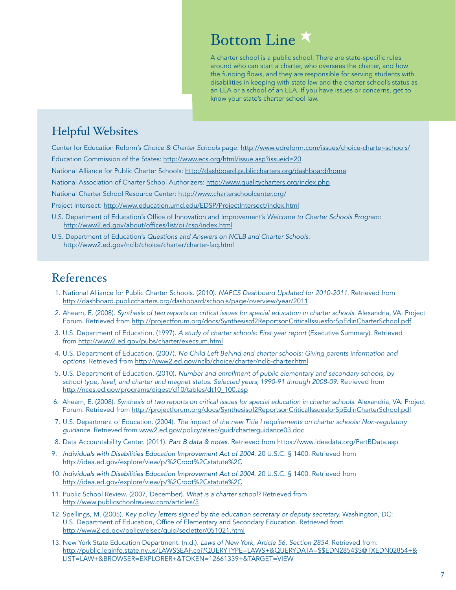### Bottom Line

A charter school is a public school. There are state-specific rules around who can start a charter, who oversees the charter, and how the funding flows, and they are responsible for serving students with disabilities in keeping with state law and the charter school's status as an LEA or a school of an LEA. If you have issues or concerns, get to know your state's charter school law.

#### Helpful Websites

Center for Education Reform's *Choice & Charter Schools* page: http://www.edreform.com/issues/choice-charter-schools/

Education Commission of the States: http://www.ecs.org/html/issue.asp?issueid=20

National Alliance for Public Charter Schools: http://dashboard.publiccharters.org/dashboard/home

National Association of Charter School Authorizers: http://www.qualitycharters.org/index.php

National Charter School Resource Center: http://www.charterschoolcenter.org/

Project Intersect: http://www.education.umd.edu/EDSP/ProjectIntersect/index.html

- U.S. Department of Education's Office of Innovation and Improvement's *Welcome to Charter Schools Program*: http://www2.ed.gov/about/offices/list/oii/csp/index.html
- U.S. Department of Education's *Questions and Answers on NCLB and Charter Schools*: http://www2.ed.gov/nclb/choice/charter/charter-faq.html

#### References

- 1. National Alliance for Public Charter Schools. (2010). *NAPCS Dashboard Updated for 2010-2011*. Retrieved from http://dashboard.publiccharters.org/dashboard/schools/page/overview/year/2011
- 2. Ahearn, E. (2008). *Synthesis of two reports on critical issues for special education in charter schools*. Alexandria, VA: Project Forum. Retrieved from http://projectforum.org/docs/Synthesisof2ReportsonCriticalIssuesforSpEdinCharterSchool.pdf
- 3. U.S. Department of Education. (1997). *A study of charter schools: First year report* (Executive Summary). Retrieved from http://www2.ed.gov/pubs/charter/execsum.html
- 4. U.S. Department of Education. (2007). *No Child Left Behind and charter schools: Giving parents information and options.* Retrieved from http://www2.ed.gov/nclb/choice/charter/nclb-charter.html
- 5. U.S. Department of Education. (2010). *Number and enrollment of public elementary and secondary schools, by school type, level, and charter and magnet status: Selected years, 1990-91 through 2008-09*. Retrieved from http://nces.ed.gov/programs/digest/d10/tables/dt10\_100.asp
- 6. Ahearn, E. (2008). *Synthesis of two reports on critical issues for special education in charter schools*. Alexandria, VA: Project Forum. Retrieved from http://projectforum.org/docs/Synthesisof2ReportsonCriticalIssuesforSpEdinCharterSchool.pdf
- 7. U.S. Department of Education. (2004). *The impact of the new Title I requirements on charter schools: Non-regulatory guidance*. Retrieved from www2.ed.gov/policy/elsec/guid/charterguidance03.doc
- 8. Data Accountability Center. (2011). *Part B data & notes*. Retrieved from https://www.ideadata.org/PartBData.asp
- 9. *Individuals with Disabilities Education Improvement Act of 2004*. 20 U.S.C. § 1400. Retrieved from http://idea.ed.gov/explore/view/p/%2Croot%2Cstatute%2C
- 10. *Individuals with Disabilities Education Improvement Act of 2004*. 20 U.S.C. § 1400. Retrieved from http://idea.ed.gov/explore/view/p/%2Croot%2Cstatute%2C
- 11. Public School Review. (2007, December). *What is a charter school?* Retrieved from http://www.publicschoolreview.com/articles/3
- 12. Spellings, M. (2005). *Key policy letters signed by the education secretary or deputy secretary.* Washington, DC: U.S. Department of Education, Office of Elementary and Secondary Education. Retrieved from http://www2.ed.gov/policy/elsec/guid/secletter/051021.html
- 13. New York State Education Department. (n.d.). *Laws of New York, Article 56, Section 2854*. Retrieved from: http://public.leginfo.state.ny.us/LAWSSEAF.cgi?QUERYTYPE=LAWS+&QUERYDATA=\$\$EDN2854\$\$@TXEDN02854+& LIST=LAW+&BROWSER=EXPLORER+&TOKEN=12661339+&TARGET=VIEW